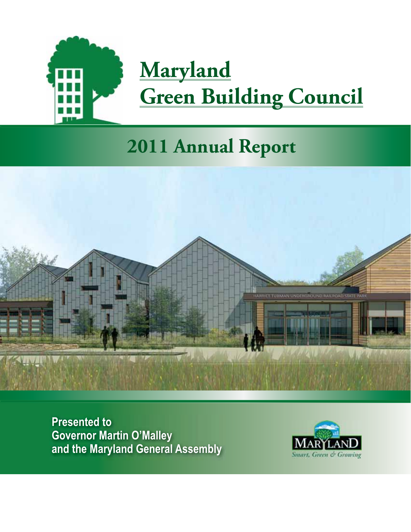

# **Maryland Green Building Council**

## **2011 Annual Report**



**Presented to Governor Martin O'Malley** and the Maryland General Assembly

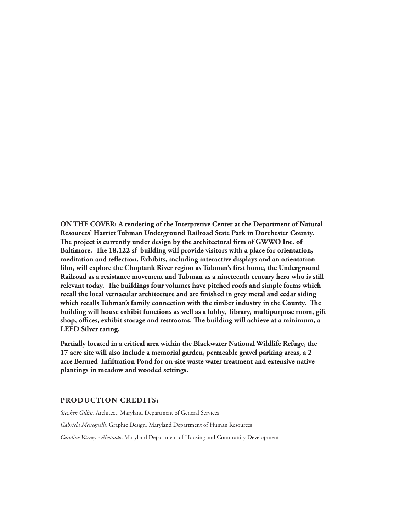**ON THE COVER: A rendering of the Interpretive Center at the Department of Natural Resources' Harriet Tubman Underground Railroad State Park in Dorchester County. The project is currently under design by the architectural firm of GWWO Inc. of Baltimore. The 18,122 sf building will provide visitors with a place for orientation, meditation and reflection. Exhibits, including interactive displays and an orientation film, will explore the Choptank River region as Tubman's first home, the Underground Railroad as a resistance movement and Tubman as a nineteenth century hero who is still relevant today. The buildings four volumes have pitched roofs and simple forms which recall the local vernacular architecture and are finished in grey metal and cedar siding which recalls Tubman's family connection with the timber industry in the County. The building will house exhibit functions as well as a lobby, library, multipurpose room, gift shop, offices, exhibit storage and restrooms. The building will achieve at a minimum, a LEED Silver rating.** 

**Partially located in a critical area within the Blackwater National Wildlife Refuge, the 17 acre site will also include a memorial garden, permeable gravel parking areas, a 2 acre Bermed Infiltration Pond for on-site waste water treatment and extensive native plantings in meadow and wooded settings.**

#### **PRODUCTION CREDITS:**

*Stephen Gilliss*, Architect, Maryland Department of General Services *Gabriela Meneguelli*, Graphic Design, Maryland Department of Human Resources *Caroline Varney - Alvarado*, Maryland Department of Housing and Community Development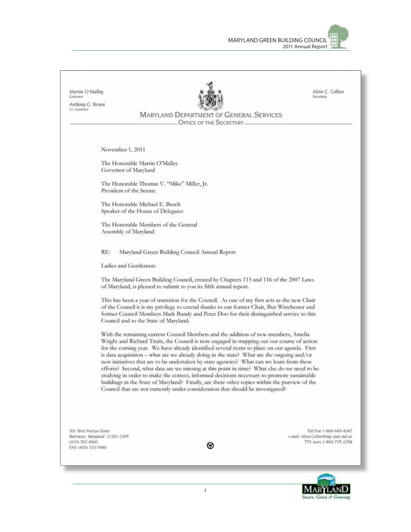

Alvin C. Collins Martin O'Malley **Secretary** Anthony G. Brown Lt. Gavernor MARYLAND DEPARTMENT OF GENERAL SERVICES OFFICE OF THE SECRETARY. November 1, 2011 The Honorable Martin O'Malley Governor of Maryland The Honorable Thomas V. "Mike" Miller, Jr. President of the Senate The Honorable Michael E. Busch Speaker of the House of Delegates The Honorable Members of the General Assembly of Maryland Maryland Green Building Council Annual Report RE: Ladies and Gentlemen: The Maryland Green Building Council, created by Chapters 115 and 116 of the 2007 Laws of Maryland, is pleased to submit to you its fifth annual report. This has been a year of transition for the Council. As one of my first acts as the new Chair of the Council it is my privilege to extend thanks to our former Chair, Buz Winchester and former Council Members Mark Bundy and Peter Doo for their distinguished service to this Council and to the State of Maryland. With the remaining current Council Members and the addition of new members, Amelia Wright and Richard Truitt, the Council is now engaged in mapping out our course of action for the coming year. We have already identified several items to place on our agenda. First is data acquisition - what are we already doing in the state? What are the ongoing and/or new initiatives that are to be undertaken by state agencies? What can we learn from these efforts? Second, what data are we missing at this point in time? What else do we need to be studying in order to make the correct, informed decisions necessary to promote sustainable buildings in the State of Maryland? Finally, are there other topics within the purview of the Council that are not currently under consideration that should be investigated? 301 West Prestan Street Toll Free 1-800-449-4347 Baltimore, Maryland 21201-2305 e-mail: Alvin Collins@dgs.state.md.us (410) 767-4960 TTY asers 1-800-735-2258 ⊛ FAX (410) 333-5480

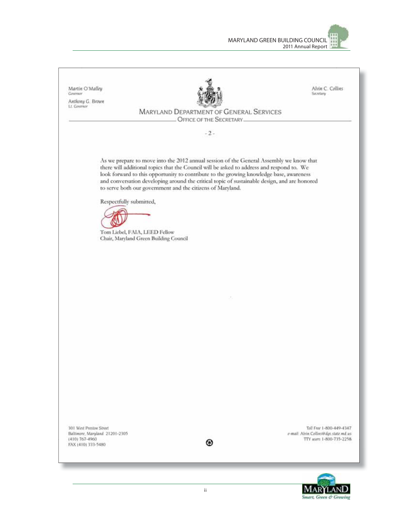

Alvin C. Collins Martin O'Malley Covenus Secretary Anthony G. Brown Lt. Governor **MARYLAND DEPARTMENT OF GENERAL SERVICES** OFFICE OF THE SECRETARY.  $-2-$ As we prepare to move into the 2012 annual session of the General Assembly we know that there will additional topics that the Council will be asked to address and respond to. We look forward to this opportunity to contribute to the growing knowledge base, awareness and conversation developing around the critical topic of sustainable design, and are honored to serve both our government and the citizens of Maryland. Respectfully submitted, Tom Liebel, FAIA, LEED Fellow Chair, Maryland Green Building Council 301 West Preston Street Tall Free 1-800-449-4347 Baltimore, Maryland 21201-2305 e-mail: Alvin Collins@dps.state.md.us (410) 767-4960 TTY users 1-800-735-2258 ⊛ FAX (410) 333-5480

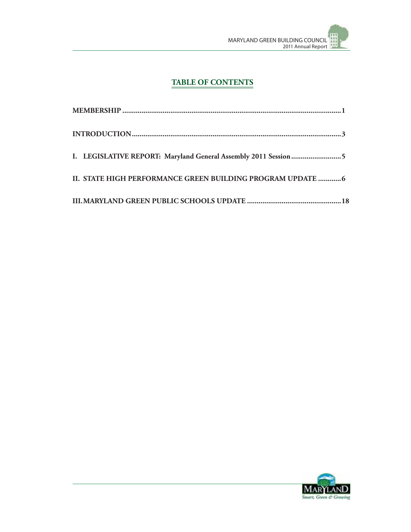

## **TABLE OF CONTENTS**

| I. LEGISLATIVE REPORT: Maryland General Assembly 2011 Session 5 |  |
|-----------------------------------------------------------------|--|
| II. STATE HIGH PERFORMANCE GREEN BUILDING PROGRAM UPDATE  6     |  |
|                                                                 |  |

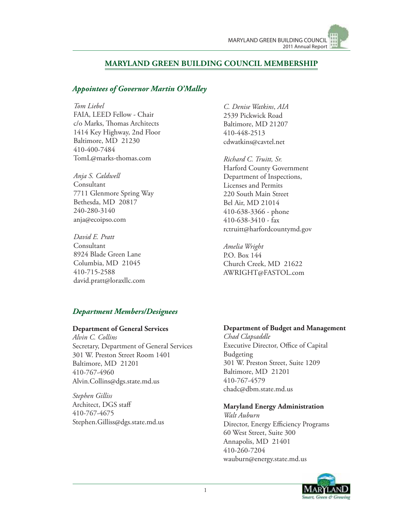#### **MARYLAND GREEN BUILDING COUNCIL MEMBERSHIP**

#### *Appointees of Governor Martin O'Malley*

*Tom Liebel*

FAIA, LEED Fellow - Chair c/o Marks, Thomas Architects 1414 Key Highway, 2nd Floor Baltimore, MD 21230 410-400-7484 TomL@marks-thomas.com

*Anja S. Caldwell* Consultant 7711 Glenmore Spring Way Bethesda, MD 20817 240-280-3140 anja@ecoipso.com

*David E. Pratt* Consultant 8924 Blade Green Lane Columbia, MD 21045 410-715-2588 david.pratt@loraxllc.com

*C. Denise Watkins*, *AIA* 2539 Pickwick Road Baltimore, MD 21207 410-448-2513 cdwatkins@cavtel.net

*Richard C. Truitt, Sr.* Harford County Government Department of Inspections, Licenses and Permits 220 South Main Street Bel Air, MD 21014 410-638-3366 - phone 410-638-3410 - fax rctruitt@harfordcountymd.gov

*Amelia Wright* P.O. Box 144 Church Creek, MD 21622 AWRIGHT@FASTOL.com

#### *Department Members/Designees*

#### **Department of General Services**

*Alvin C. Collins* Secretary, Department of General Services 301 W. Preston Street Room 1401 Baltimore, MD 21201 410-767-4960 Alvin.Collins@dgs.state.md.us

*Stephen Gilliss* Architect, DGS staff 410-767-4675 Stephen.Gilliss@dgs.state.md.us

#### **Department of Budget and Management**

*Chad Clapsaddle* Executive Director, Office of Capital Budgeting 301 W. Preston Street, Suite 1209 Baltimore, MD 21201 410-767-4579 chadc@dbm.state.md.us

#### **Maryland Energy Administration**

*Walt Auburn* Director, Energy Efficiency Programs 60 West Street, Suite 300 Annapolis, MD 21401 410-260-7204 wauburn@energy.state.md.us

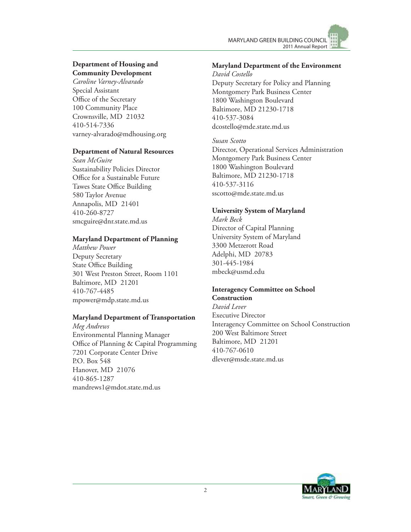

#### **Department of Housing and Community Development**

*Caroline Varney-Alvarado* Special Assistant Office of the Secretary 100 Community Place Crownsville, MD 21032 410-514-7336 varney-alvarado@mdhousing.org

#### **Department of Natural Resources**

*Sean McGuire* Sustainability Policies Director Office for a Sustainable Future Tawes State Office Building 580 Taylor Avenue Annapolis, MD 21401 410-260-8727 smcguire@dnr.state.md.us

#### **Maryland Department of Planning**

*Matthew Power* Deputy Secretary State Office Building 301 West Preston Street, Room 1101 Baltimore, MD 21201 410-767-4485 mpower@mdp.state.md.us

#### **Maryland Department of Transportation**

*Meg Andrews* Environmental Planning Manager Office of Planning & Capital Programming 7201 Corporate Center Drive P.O. Box 548 Hanover, MD 21076 410-865-1287 mandrews1@mdot.state.md.us

#### **Maryland Department of the Environment**

*David Costello* Deputy Secretary for Policy and Planning Montgomery Park Business Center 1800 Washington Boulevard Baltimore, MD 21230-1718 410-537-3084 dcostello@mde.state.md.us

*Susan Scotto*

Director, Operational Services Administration Montgomery Park Business Center 1800 Washington Boulevard Baltimore, MD 21230-1718 410-537-3116 sscotto@mde.state.md.us

## **University System of Maryland**

*Mark Beck* Director of Capital Planning University System of Maryland 3300 Metzerott Road Adelphi, MD 20783 301-445-1984 mbeck@usmd.edu

#### **Interagency Committee on School Construction**

*David Lever* Executive Director Interagency Committee on School Construction 200 West Baltimore Street Baltimore, MD 21201 410-767-0610 dlever@msde.state.md.us

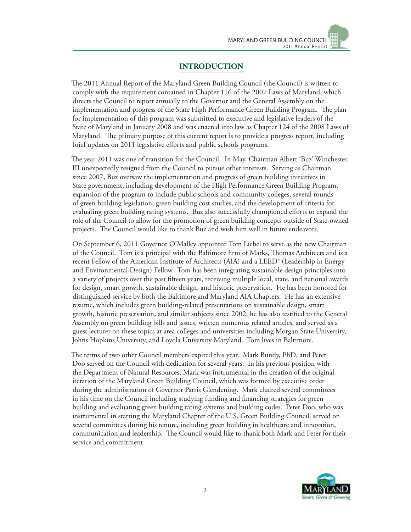## **INTRODUCTION**

The 2011 Annual Report of the Maryland Green Building Council (the Council) is written to comply with the requirement contained in Chapter 116 of the 2007 Laws of Maryland, which directs the Council to report annually to the Governor and the General Assembly on the implementation and progress of the State High Performance Green Building Program. The plan for implementation of this program was submitted to executive and legislative leaders of the State of Maryland in January 2008 and was enacted into law as Chapter 124 of the 2008 Laws of Maryland. The primary purpose of this current report is to provide a progress report, including brief updates on 2011 legislative efforts and public schools programs.

The year 2011 was one of transition for the Council. In May, Chairman Albert 'Buz' Winchester, III unexpectedly resigned from the Council to pursue other interests. Serving as Chairman since 2007, Buz oversaw the implementation and progress of green building initiatives in State government, including development of the High Performance Green Building Program, expansion of the program to include public schools and community colleges, several rounds of green building legislation, green building cost studies, and the development of criteria for evaluating green building rating systems. Buz also successfully championed efforts to expand the role of the Council to allow for the promotion of green building concepts outside of State-owned projects. The Council would like to thank Buz and wish him well in future endeavors.

On September 6, 2011 Governor O'Malley appointed Tom Liebel to serve as the new Chairman of the Council. Tom is a principal with the Baltimore firm of Marks, Thomas Architects and is a recent Fellow of the American Institute of Architects (AIA) and a LEED® (Leadership in Energy and Environmental Design) Fellow. Tom has been integrating sustainable design principles into a variety of projects over the past fifteen years, receiving multiple local, state, and national awards for design, smart growth, sustainable design, and historic preservation. He has been honored for distinguished service by both the Baltimore and Maryland AIA Chapters. He has an extensive resume, which includes green building-related presentations on sustainable design, smart growth, historic preservation, and similar subjects since 2002; he has also testified to the General Assembly on green building bills and issues, written numerous related articles, and served as a guest lecturer on these topics at area colleges and universities including Morgan State University, Johns Hopkins University, and Loyola University Maryland. Tom lives in Baltimore.

The terms of two other Council members expired this year. Mark Bundy, PhD, and Peter Doo served on the Council with dedication for several years. In his previous position with the Department of Natural Resources, Mark was instrumental in the creation of the original iteration of the Maryland Green Building Council, which was formed by executive order during the administration of Governor Parris Glendening. Mark chaired several committees in his time on the Council including studying funding and financing strategies for green building and evaluating green building rating systems and building codes. Peter Doo, who was instrumental in starting the Maryland Chapter of the U.S. Green Building Council, served on several committees during his tenure, including green building in healthcare and innovation, communication and leadership. The Council would like to thank both Mark and Peter for their service and commitment.

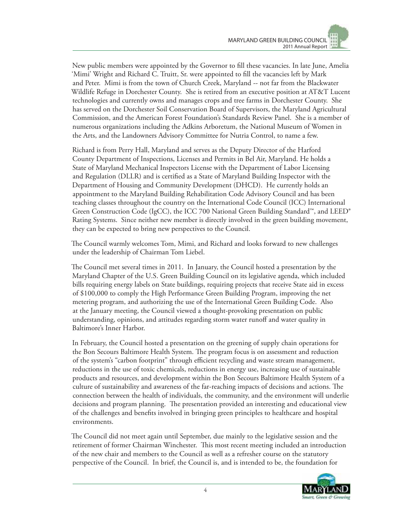New public members were appointed by the Governor to fill these vacancies. In late June, Amelia 'Mimi' Wright and Richard C. Truitt, Sr. were appointed to fill the vacancies left by Mark and Peter. Mimi is from the town of Church Creek, Maryland -- not far from the Blackwater Wildlife Refuge in Dorchester County. She is retired from an executive position at AT&T Lucent technologies and currently owns and manages crops and tree farms in Dorchester County. She has served on the Dorchester Soil Conservation Board of Supervisors, the Maryland Agricultural Commission, and the American Forest Foundation's Standards Review Panel. She is a member of numerous organizations including the Adkins Arboretum, the National Museum of Women in the Arts, and the Landowners Advisory Committee for Nutria Control, to name a few.

Richard is from Perry Hall, Maryland and serves as the Deputy Director of the Harford County Department of Inspections, Licenses and Permits in Bel Air, Maryland. He holds a State of Maryland Mechanical Inspectors License with the Department of Labor Licensing and Regulation (DLLR) and is certified as a State of Maryland Building Inspector with the Department of Housing and Community Development (DHCD). He currently holds an appointment to the Maryland Building Rehabilitation Code Advisory Council and has been teaching classes throughout the country on the International Code Council (ICC) International Green Construction Code (IgCC), the ICC 700 National Green Building Standard™, and LEED® Rating Systems. Since neither new member is directly involved in the green building movement, they can be expected to bring new perspectives to the Council.

The Council warmly welcomes Tom, Mimi, and Richard and looks forward to new challenges under the leadership of Chairman Tom Liebel.

The Council met several times in 2011. In January, the Council hosted a presentation by the Maryland Chapter of the U.S. Green Building Council on its legislative agenda, which included bills requiring energy labels on State buildings, requiring projects that receive State aid in excess of \$100,000 to comply the High Performance Green Building Program, improving the net metering program, and authorizing the use of the International Green Building Code. Also at the January meeting, the Council viewed a thought-provoking presentation on public understanding, opinions, and attitudes regarding storm water runoff and water quality in Baltimore's Inner Harbor.

In February, the Council hosted a presentation on the greening of supply chain operations for the Bon Secours Baltimore Health System. The program focus is on assessment and reduction of the system's "carbon footprint" through efficient recycling and waste stream management, reductions in the use of toxic chemicals, reductions in energy use, increasing use of sustainable products and resources, and development within the Bon Secours Baltimore Health System of a culture of sustainability and awareness of the far-reaching impacts of decisions and actions. The connection between the health of individuals, the community, and the environment will underlie decisions and program planning. The presentation provided an interesting and educational view of the challenges and benefits involved in bringing green principles to healthcare and hospital environments.

The Council did not meet again until September, due mainly to the legislative session and the retirement of former Chairman Winchester. This most recent meeting included an introduction of the new chair and members to the Council as well as a refresher course on the statutory perspective of the Council. In brief, the Council is, and is intended to be, the foundation for

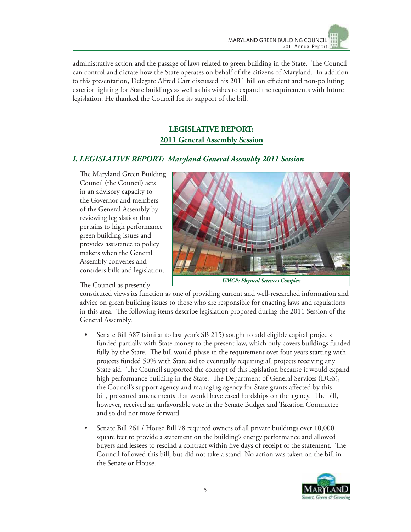

administrative action and the passage of laws related to green building in the State. The Council can control and dictate how the State operates on behalf of the citizens of Maryland. In addition to this presentation, Delegate Alfred Carr discussed his 2011 bill on efficient and non-polluting exterior lighting for State buildings as well as his wishes to expand the requirements with future legislation. He thanked the Council for its support of the bill.

## **LEGISLATIVE REPORT: 2011 General Assembly Session**

#### *I. LEGISLATIVE REPORT: Maryland General Assembly 2011 Session*

The Maryland Green Building Council (the Council) acts in an advisory capacity to the Governor and members of the General Assembly by reviewing legislation that pertains to high performance green building issues and provides assistance to policy makers when the General Assembly convenes and considers bills and legislation.

#### The Council as presently



*UMCP: Physical Sciences Complex*

constituted views its function as one of providing current and well-researched information and advice on green building issues to those who are responsible for enacting laws and regulations in this area. The following items describe legislation proposed during the 2011 Session of the General Assembly.

- Senate Bill 387 (similar to last year's SB 215) sought to add eligible capital projects funded partially with State money to the present law, which only covers buildings funded fully by the State. The bill would phase in the requirement over four years starting with projects funded 50% with State aid to eventually requiring all projects receiving any State aid. The Council supported the concept of this legislation because it would expand high performance building in the State. The Department of General Services (DGS), the Council's support agency and managing agency for State grants affected by this bill, presented amendments that would have eased hardships on the agency. The bill, however, received an unfavorable vote in the Senate Budget and Taxation Committee and so did not move forward.
- Senate Bill 261 / House Bill 78 required owners of all private buildings over 10,000 square feet to provide a statement on the building's energy performance and allowed buyers and lessees to rescind a contract within five days of receipt of the statement. The Council followed this bill, but did not take a stand. No action was taken on the bill in the Senate or House.

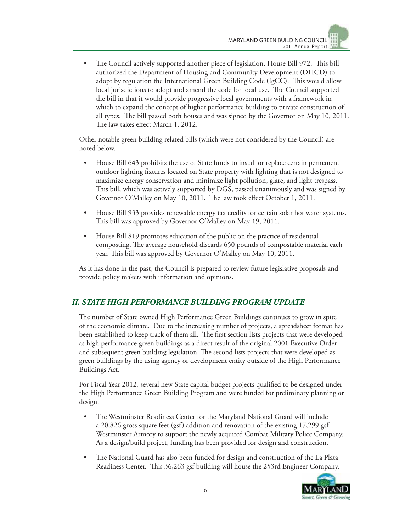• The Council actively supported another piece of legislation, House Bill 972. This bill authorized the Department of Housing and Community Development (DHCD) to adopt by regulation the International Green Building Code (IgCC). This would allow local jurisdictions to adopt and amend the code for local use. The Council supported the bill in that it would provide progressive local governments with a framework in which to expand the concept of higher performance building to private construction of all types. The bill passed both houses and was signed by the Governor on May 10, 2011. The law takes effect March 1, 2012.

Other notable green building related bills (which were not considered by the Council) are noted below.

- House Bill 643 prohibits the use of State funds to install or replace certain permanent outdoor lighting fixtures located on State property with lighting that is not designed to maximize energy conservation and minimize light pollution, glare, and light trespass. This bill, which was actively supported by DGS, passed unanimously and was signed by Governor O'Malley on May 10, 2011. The law took effect October 1, 2011.
- House Bill 933 provides renewable energy tax credits for certain solar hot water systems. This bill was approved by Governor O'Malley on May 19, 2011.
- House Bill 819 promotes education of the public on the practice of residential composting. The average household discards 650 pounds of compostable material each year. This bill was approved by Governor O'Malley on May 10, 2011.

As it has done in the past, the Council is prepared to review future legislative proposals and provide policy makers with information and opinions.

## *II. STATE HIGH PERFORMANCE BUILDING PROGRAM UPDATE*

The number of State owned High Performance Green Buildings continues to grow in spite of the economic climate. Due to the increasing number of projects, a spreadsheet format has been established to keep track of them all. The first section lists projects that were developed as high performance green buildings as a direct result of the original 2001 Executive Order and subsequent green building legislation. The second lists projects that were developed as green buildings by the using agency or development entity outside of the High Performance Buildings Act.

For Fiscal Year 2012, several new State capital budget projects qualified to be designed under the High Performance Green Building Program and were funded for preliminary planning or design.

- The Westminster Readiness Center for the Maryland National Guard will include a 20,826 gross square feet (gsf) addition and renovation of the existing 17,299 gsf Westminster Armory to support the newly acquired Combat Military Police Company. As a design/build project, funding has been provided for design and construction.
- The National Guard has also been funded for design and construction of the La Plata Readiness Center. This 36,263 gsf building will house the 253rd Engineer Company.

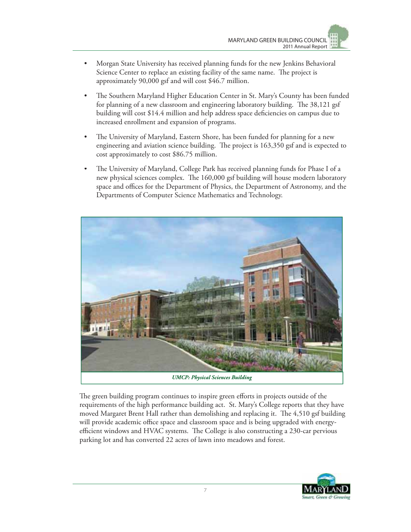- Morgan State University has received planning funds for the new Jenkins Behavioral Science Center to replace an existing facility of the same name. The project is approximately 90,000 gsf and will cost \$46.7 million.
- The Southern Maryland Higher Education Center in St. Mary's County has been funded for planning of a new classroom and engineering laboratory building. The 38,121 gsf building will cost \$14.4 million and help address space deficiencies on campus due to increased enrollment and expansion of programs.
- The University of Maryland, Eastern Shore, has been funded for planning for a new engineering and aviation science building. The project is 163,350 gsf and is expected to cost approximately to cost \$86.75 million.
- The University of Maryland, College Park has received planning funds for Phase I of a new physical sciences complex. The 160,000 gsf building will house modern laboratory space and offices for the Department of Physics, the Department of Astronomy, and the Departments of Computer Science Mathematics and Technology.



The green building program continues to inspire green efforts in projects outside of the requirements of the high performance building act. St. Mary's College reports that they have moved Margaret Brent Hall rather than demolishing and replacing it. The 4,510 gsf building will provide academic office space and classroom space and is being upgraded with energyefficient windows and HVAC systems. The College is also constructing a 230-car pervious parking lot and has converted 22 acres of lawn into meadows and forest.

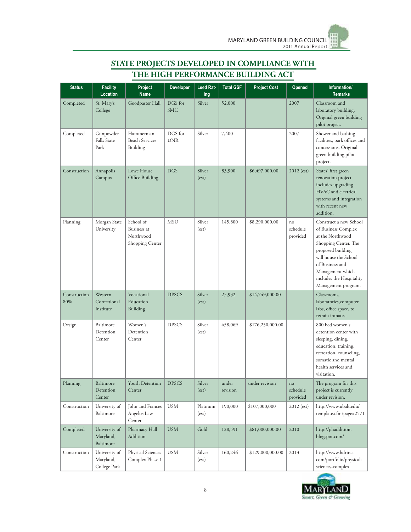| <b>Status</b>       | <b>Facility</b><br>Location                | Project<br><b>Name</b>                                   | <b>Developer</b>      | Leed Rat-<br>ing  | <b>Total GSF</b>  | <b>Project Cost</b> | Opened                     | Information/<br><b>Remarks</b>                                                                                                                                                                                                    |
|---------------------|--------------------------------------------|----------------------------------------------------------|-----------------------|-------------------|-------------------|---------------------|----------------------------|-----------------------------------------------------------------------------------------------------------------------------------------------------------------------------------------------------------------------------------|
| Completed           | St. Mary's<br>College                      | Goodpaster Hall                                          | DGS for<br><b>SMC</b> | Silver            | 52,000            |                     | 2007                       | Classroom and<br>laboratory building.<br>Original green building<br>pilot project.                                                                                                                                                |
| Completed           | Gunpowder<br>Falls State<br>Park           | Hammerman<br><b>Beach Services</b><br>Building           | DGS for<br><b>DNR</b> | Silver            | 7,400             |                     | 2007                       | Shower and bathing<br>facilities, park offices and<br>concessions. Original<br>green building pilot<br>project.                                                                                                                   |
| Construction        | Annapolis<br>Campus                        | Lowe House<br>Office Building                            | <b>DGS</b>            | Silver<br>(est)   | 83,900            | \$6,497,000.00      | $2012$ (est)               | States' first green<br>renovation project<br>includes upgrading<br>HVAC and electrical<br>systems and integration<br>with recent new<br>addition.                                                                                 |
| Planning            | Morgan State<br>University                 | School of<br>Business at<br>Northwood<br>Shopping Center | <b>MSU</b>            | Silver<br>(est)   | 145,800           | \$8,290,000.00      | no<br>schedule<br>provided | Construct a new School<br>of Business Complex<br>at the Northwood<br>Shopping Center. The<br>proposed building<br>will house the School<br>of Business and<br>Management which<br>includes the Hospitality<br>Management program. |
| Construction<br>80% | Western<br>Correctional<br>Institute       | Vocational<br>Education<br>Building                      | <b>DPSCS</b>          | Silver<br>(est)   | 25,932            | \$14,749,000.00     |                            | Classrooms,<br>laboratories, computer<br>labs, office space, to<br>retrain inmates.                                                                                                                                               |
| Design              | Baltimore<br>Detention<br>Center           | Women's<br>Detention<br>Center                           | <b>DPSCS</b>          | Silver<br>(est)   | 458,069           | \$176,250,000.00    |                            | 800 bed women's<br>detention center with<br>sleeping, dining,<br>education, training,<br>recreation, counseling,<br>somatic and mental<br>health services and<br>visitation.                                                      |
| Planning            | Baltimore<br>Detention<br>Center           | Youth Detention<br>Center                                | <b>DPSCS</b>          | Silver<br>(est)   | under<br>revision | under revision      | no<br>schedule<br>provided | The program for this<br>project is currently<br>under revision.                                                                                                                                                                   |
| Construction        | University of<br>Baltimore                 | John and Frances<br>Angelos Law<br>Center                | <b>USM</b>            | Platinum<br>(est) | 190,000           | \$107,000,000       | $2012$ (est)               | http://www.ubalt.edu/<br>template.cfm?page=2571                                                                                                                                                                                   |
| Completed           | University of<br>Maryland,<br>Baltimore    | Pharmacy Hall<br>Addition                                | <b>USM</b>            | Gold              | 128,591           | \$81,000,000.00     | 2010                       | http://phaddition.<br>blogspot.com/                                                                                                                                                                                               |
| Construction        | University of<br>Maryland,<br>College Park | Physical Sciences<br>Complex Phase 1                     | <b>USM</b>            | Silver<br>(est)   | 160,246           | \$129,000,000.00    | 2013                       | http://www.hdrinc.<br>com/portfolio/physical-<br>sciences-complex                                                                                                                                                                 |

## **STATE PROJECTS DEVELOPED IN COMPLIANCE WITH THE HIGH PERFORMANCE BUILDING ACT**

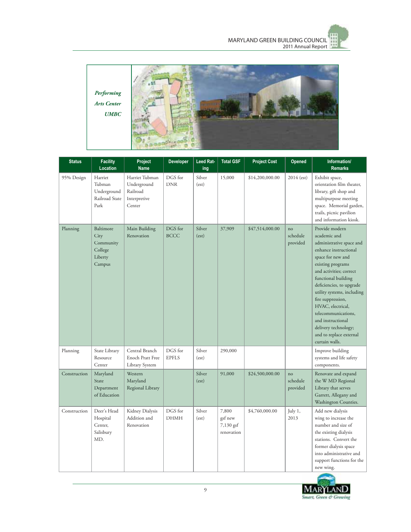



| <b>Status</b> | <b>Facility</b><br>Location                                    | Project<br><b>Name</b>                                              | Developer               | Leed Rat-<br>ing | <b>Total GSF</b>                            | <b>Project Cost</b> | Opened                     | Information/<br><b>Remarks</b>                                                                                                                                                                                                                                                                                                                                                                       |
|---------------|----------------------------------------------------------------|---------------------------------------------------------------------|-------------------------|------------------|---------------------------------------------|---------------------|----------------------------|------------------------------------------------------------------------------------------------------------------------------------------------------------------------------------------------------------------------------------------------------------------------------------------------------------------------------------------------------------------------------------------------------|
| 95% Design    | Harriet<br>Tubman<br>Underground<br>Railroad State<br>Park     | Harriet Tubman<br>Underground<br>Railroad<br>Interpretive<br>Center | DGS for<br><b>DNR</b>   | Silver<br>(est)  | 15,000                                      | \$14,200,000.00     | 2014 (est)                 | Exhibit space,<br>orientation film theater,<br>library, gift shop and<br>multipurpose meeting<br>space. Memorial garden,<br>trails, picnic pavilion<br>and information kiosk.                                                                                                                                                                                                                        |
| Planning      | Baltimore<br>City<br>Community<br>College<br>Liberty<br>Campus | Main Building<br>Renovation                                         | DGS for<br><b>BCCC</b>  | Silver<br>(est)  | 37,909                                      | \$47,514,000.00     | no<br>schedule<br>provided | Provide modern<br>academic and<br>administrative space and<br>enhance instructional<br>space for new and<br>existing programs<br>and activities; correct<br>functional building<br>deficiencies, to upgrade<br>utility systems, including<br>fire suppression,<br>HVAC, electrical,<br>telecommunications,<br>and instructional<br>delivery technology;<br>and to replace external<br>curtain walls. |
| Planning      | State Library<br>Resource<br>Center                            | Central Branch<br>Enoch Pratt Free<br>Library System                | DGS for<br><b>EPFLS</b> | Silver<br>(est)  | 290,000                                     |                     |                            | Improve building<br>systems and life safety<br>components.                                                                                                                                                                                                                                                                                                                                           |
| Construction  | Maryland<br>State<br>Department<br>of Education                | Western<br>Maryland<br>Regional Library                             |                         | Silver<br>(est)  | 91,000                                      | \$24,500,000.00     | no<br>schedule<br>provided | Renovate and expand<br>the W MD Regional<br>Library that serves<br>Garrett, Allegany and<br>Washington Counties.                                                                                                                                                                                                                                                                                     |
| Construction  | Deer's Head<br>Hospital<br>Center,<br>Salisbury<br>MD.         | Kidney Dialysis<br>Addition and<br>Renovation                       | DGS for<br><b>DHMH</b>  | Silver<br>(est)  | 7,800<br>gsf new<br>7,130 gsf<br>renovation | \$4,760,000.00      | July 1,<br>2013            | Add new dialysis<br>wing to increase the<br>number and size of<br>the existing dialysis<br>stations. Convert the<br>former dialysis space<br>into administrative and<br>support functions for the<br>new wing.                                                                                                                                                                                       |

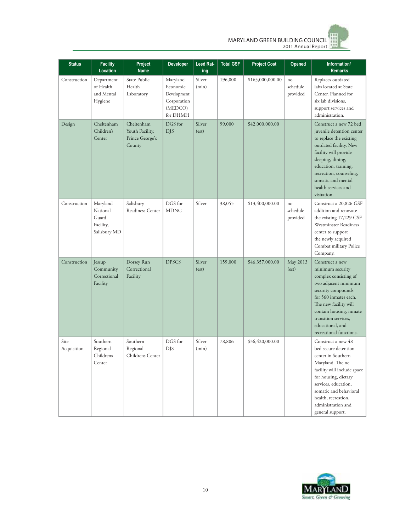

| <b>Status</b>       | <b>Facility</b><br>Location                                | Project<br><b>Name</b>                                     | <b>Developer</b>                                                          | Leed Rat-<br>ing | Total GSF | <b>Project Cost</b> | Opened                     | Information/<br><b>Remarks</b>                                                                                                                                                                                                                                        |
|---------------------|------------------------------------------------------------|------------------------------------------------------------|---------------------------------------------------------------------------|------------------|-----------|---------------------|----------------------------|-----------------------------------------------------------------------------------------------------------------------------------------------------------------------------------------------------------------------------------------------------------------------|
| Construction        | Department<br>of Health<br>and Mental<br>Hygiene           | State Public<br>Health<br>Laboratory                       | Maryland<br>Economic<br>Development<br>Corporation<br>(MEDCO)<br>for DHMH | Silver<br>(min)  | 196,000   | \$165,000,000.00    | no<br>schedule<br>provided | Replaces outdated<br>labs located at State<br>Center. Planned for<br>six lab divisions,<br>support services and<br>administration.                                                                                                                                    |
| Design              | Cheltenham<br>Children's<br>Center                         | Cheltenham<br>Youth Facility,<br>Prince George's<br>County | DGS for<br><b>DJS</b>                                                     | Silver<br>(est)  | 99,000    | \$42,000,000.00     |                            | Construct a new 72 bed<br>juvenile detention center<br>to replace the existing<br>outdated facility. New<br>facility will provide<br>sleeping, dining,<br>education, training,<br>recreation, counseling,<br>somatic and mental<br>health services and<br>visitation. |
| Construction        | Maryland<br>National<br>Guard<br>Facility,<br>Salisbury MD | Salisbury<br>Readiness Center                              | DGS for<br><b>MDNG</b>                                                    | Silver           | 38,055    | \$13,400,000.00     | no<br>schedule<br>provided | Construct a 20,826 GSF<br>addition and renovate<br>the existing 17,229 GSF<br>Westminster Readiness<br>center to support<br>the newly acquired<br>Combat military Police<br>Company.                                                                                  |
| Construction        | Jessup<br>Community<br>Correctional<br>Facility            | Dorsey Run<br>Correctional<br>Facility                     | <b>DPSCS</b>                                                              | Silver<br>(est)  | 159,000   | \$46,357,000.00     | May 2013<br>(est)          | Construct a new<br>minimum security<br>complex consisting of<br>two adjacent minimum<br>security compounds<br>for 560 inmates each.<br>The new facility will<br>contain housing, inmate<br>transition services,<br>educational, and<br>recreational functions.        |
| Site<br>Acquisition | Southern<br>Regional<br>Childrens<br>Center                | Southern<br>Regional<br>Childrens Center                   | DGS for<br><b>DJS</b>                                                     | Silver<br>(min)  | 78,806    | \$36,420,000.00     |                            | Construct a new 48<br>bed secure detention<br>center in Southern<br>Maryland. The ne<br>facility will include space<br>for housing, dietary<br>services, education,<br>somatic and behavioral<br>health, recreation,<br>administration and<br>general support.        |

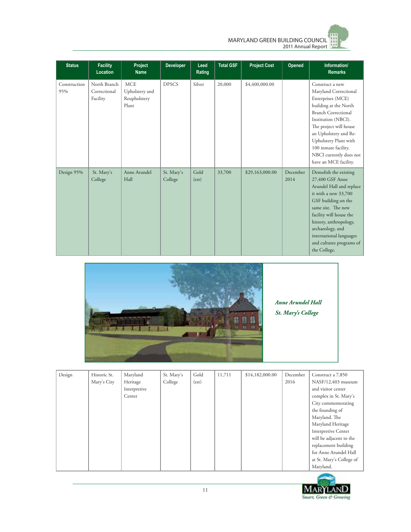

| <b>Status</b>       | <b>Facility</b><br>Location              | Project<br><b>Name</b>                                | <b>Developer</b>      | Leed<br>Rating | <b>Total GSF</b> | <b>Project Cost</b> | Opened           | Information/<br><b>Remarks</b>                                                                                                                                                                                                                                                                      |
|---------------------|------------------------------------------|-------------------------------------------------------|-----------------------|----------------|------------------|---------------------|------------------|-----------------------------------------------------------------------------------------------------------------------------------------------------------------------------------------------------------------------------------------------------------------------------------------------------|
| Construction<br>95% | North Branch<br>Correctional<br>Facility | <b>MCE</b><br>Upholstery and<br>Reupholstery<br>Plant | <b>DPSCS</b>          | Silver         | 20,000           | \$4,400,000.00      |                  | Construct a new<br>Maryland Correctional<br>Enterprises (MCE)<br>building at the North<br><b>Branch Correctional</b><br>Institution (NBCI).<br>The project will house<br>an Upholstery and Re-<br>Upholstery Plant with<br>100 inmate facility.<br>NBCI currently does not<br>have an MCE facility. |
| Design 95%          | St. Mary's<br>College                    | Anne Arundel<br>Hall                                  | St. Mary's<br>College | Gold<br>(est)  | 33,700           | \$29,163,000.00     | December<br>2014 | Demolish the existing<br>27,400 GSF Anne<br>Arundel Hall and replace<br>it with a new 33,700<br>GSF building on the<br>same site. The new<br>facility will house the<br>history, anthropology,<br>archaeology, and<br>international languages<br>and cultures programs of<br>the College.           |



*Anne Arundel Hall* 

*St. Mary's College* 

| Design | Historic St. | Maryland     | St. Mary's | Gold  | 11,711 | \$14,182,000.00 | December | Construct a 7,850        |
|--------|--------------|--------------|------------|-------|--------|-----------------|----------|--------------------------|
|        | Mary's City  | Heritage     | College    | (est) |        |                 | 2016     | NASF/12,403 museum       |
|        |              | Interpretive |            |       |        |                 |          | and visitor center       |
|        |              | Center       |            |       |        |                 |          | complex in St. Mary's    |
|        |              |              |            |       |        |                 |          | City commemorating       |
|        |              |              |            |       |        |                 |          | the founding of          |
|        |              |              |            |       |        |                 |          | Maryland. The            |
|        |              |              |            |       |        |                 |          | Maryland Heritage        |
|        |              |              |            |       |        |                 |          | Interpretive Center      |
|        |              |              |            |       |        |                 |          | will be adjacent to the  |
|        |              |              |            |       |        |                 |          | replacement building     |
|        |              |              |            |       |        |                 |          | for Anne Arundel Hall    |
|        |              |              |            |       |        |                 |          | at St. Mary's College of |
|        |              |              |            |       |        |                 |          | Maryland.                |

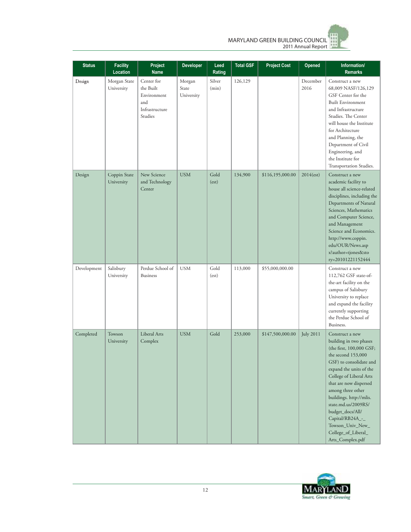

| <b>Status</b> | <b>Facility</b><br>Location | Project<br>Name                                                            | <b>Developer</b>              | Leed<br>Rating  | <b>Total GSF</b> | <b>Project Cost</b> | <b>Opened</b>      | Information/<br><b>Remarks</b>                                                                                                                                                                                                                                                                                                                                                       |
|---------------|-----------------------------|----------------------------------------------------------------------------|-------------------------------|-----------------|------------------|---------------------|--------------------|--------------------------------------------------------------------------------------------------------------------------------------------------------------------------------------------------------------------------------------------------------------------------------------------------------------------------------------------------------------------------------------|
| Design        | Morgan State<br>University  | Center for<br>the Built<br>Environment<br>and<br>Infrastructure<br>Studies | Morgan<br>State<br>University | Silver<br>(min) | 126,129          |                     | December<br>2016   | Construct a new<br>68,009 NASF/126,129<br>GSF Center for the<br><b>Built Environment</b><br>and Infrastructure<br>Studies. The Center<br>will house the Institute<br>for Architecture<br>and Planning, the<br>Department of Civil<br>Engineering, and<br>the Institute for<br>Transportation Studies.                                                                                |
| Design        | Coppin State<br>University  | New Science<br>and Technology<br>Center                                    | <b>USM</b>                    | Gold<br>(est)   | 134,900          | \$116,195,000.00    | $2014(\text{est})$ | Construct a new<br>academic facility to<br>house all science-related<br>disciplines, including the<br>Departments of Natural<br>Sciences, Mathematics<br>and Computer Science,<br>and Management<br>Science and Economics.<br>http://www.coppin.<br>edu/OUR/News.asp<br>x?author=tjones&sto<br>ry=20101221152444                                                                     |
| Development   | Salisbury<br>University     | Perdue School of<br><b>Business</b>                                        | <b>USM</b>                    | Gold<br>(est)   | 113,000          | \$55,000,000.00     |                    | Construct a new<br>112,762 GSF state-of-<br>the-art facility on the<br>campus of Salisbury<br>University to replace<br>and expand the facility<br>currently supporting<br>the Perdue School of<br>Business.                                                                                                                                                                          |
| Completed     | Towson<br>University        | Liberal Arts<br>Complex                                                    | <b>USM</b>                    | Gold            | 253,000          | \$147,500,000.00    | <b>July 2011</b>   | Construct a new<br>building in two phases<br>(the first, 100,000 GSF;<br>the second 153,000<br>GSF) to consolidate and<br>expand the units of the<br>College of Liberal Arts<br>that are now dispersed<br>among three other<br>buildings. http://mlis.<br>state.md.us/2009RS/<br>budget_docs/All/<br>Capital/RB24A_-_<br>Towson_Univ_New_<br>College_of_Liberal_<br>Arts_Complex.pdf |

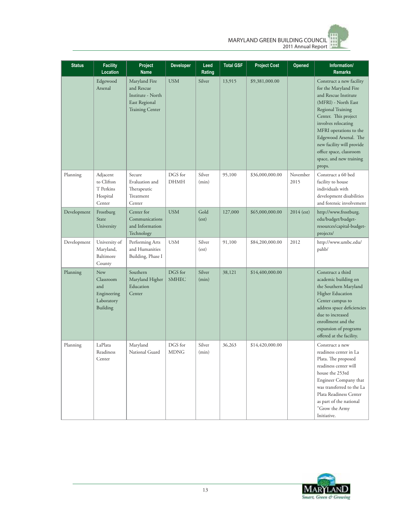

| <b>Status</b> | <b>Facility</b><br>Location                                      | Project<br><b>Name</b>                                                                      | <b>Developer</b>        | Leed<br>Rating  | <b>Total GSF</b> | <b>Project Cost</b> | Opened           | Information/<br><b>Remarks</b>                                                                                                                                                                                                                                                                                       |
|---------------|------------------------------------------------------------------|---------------------------------------------------------------------------------------------|-------------------------|-----------------|------------------|---------------------|------------------|----------------------------------------------------------------------------------------------------------------------------------------------------------------------------------------------------------------------------------------------------------------------------------------------------------------------|
|               | Edgewood<br>Arsenal                                              | Maryland Fire<br>and Rescue<br>Institute - North<br>East Regional<br><b>Training Center</b> | <b>USM</b>              | Silver          | 13,915           | \$9,381,000.00      |                  | Construct a new facility<br>for the Maryland Fire<br>and Rescue Institute<br>(MFRI) - North East<br>Regional Training<br>Center. This project<br>involves relocating<br>MFRI operations to the<br>Edgewood Arsenal. The<br>new facility will provide<br>office space, classroom<br>space, and new training<br>props. |
| Planning      | Adjacent<br>to Clifton<br>T Perkins<br>Hospital<br>Center        | Secure<br>Evaluation and<br>Therapeutic<br>Treatment<br>Center                              | DGS for<br><b>DHMH</b>  | Silver<br>(min) | 95,100           | \$36,000,000.00     | November<br>2015 | Construct a 60 bed<br>facility to house<br>individuals with<br>development disabilities<br>and forensic involvement                                                                                                                                                                                                  |
| Development   | Frostburg<br>State<br>University                                 | Center for<br>Communications<br>and Information<br>Technology                               | <b>USM</b>              | Gold<br>(est)   | 127,000          | \$65,000,000.00     | 2014 (est)       | http://www.frostburg.<br>edu/budget/budget-<br>resources/capital-budget-<br>projects/                                                                                                                                                                                                                                |
| Development   | University of<br>Maryland,<br>Baltimore<br>County                | Performing Arts<br>and Humanities<br>Building, Phase I                                      | <b>USM</b>              | Silver<br>(est) | 91,100           | \$84,200,000.00     | 2012             | http://www.umbc.edu/<br>pahb/                                                                                                                                                                                                                                                                                        |
| Planning      | New<br>Classroom<br>and<br>Engineering<br>Laboratory<br>Building | Southern<br>Maryland Higher<br>Education<br>Center                                          | DGS for<br><b>SMHEC</b> | Silver<br>(min) | 38,121           | \$14,400,000.00     |                  | Construct a third<br>academic building on<br>the Southern Maryland<br><b>Higher Education</b><br>Center campus to<br>address space deficiencies<br>due to increased<br>enrollment and the<br>expansion of programs<br>offered at the facility.                                                                       |
| Planning      | LaPlata<br>Readiness<br>Center                                   | Maryland<br>National Guard                                                                  | DGS for<br><b>MDNG</b>  | Silver<br>(min) | 36,263           | \$14,420,000.00     |                  | Construct a new<br>readiness center in La<br>Plata. The proposed<br>readiness center will<br>house the 253rd<br>Engineer Company that<br>was transferred to the La<br>Plata Readiness Center<br>as part of the national<br>"Grow the Army<br>Initiative.                                                             |

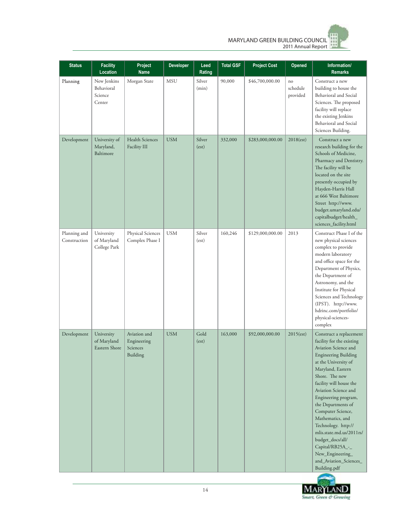

| <b>Status</b>                | <b>Facility</b><br>Location                    | Project<br><b>Name</b>                              | Developer  | Leed<br>Rating  | <b>Total GSF</b> | <b>Project Cost</b> | Opened                     | Information/<br><b>Remarks</b>                                                                                                                                                                                                                                                                                                                                                                                                                                                |
|------------------------------|------------------------------------------------|-----------------------------------------------------|------------|-----------------|------------------|---------------------|----------------------------|-------------------------------------------------------------------------------------------------------------------------------------------------------------------------------------------------------------------------------------------------------------------------------------------------------------------------------------------------------------------------------------------------------------------------------------------------------------------------------|
| Planning                     | New Jenkins<br>Behavioral<br>Science<br>Center | Morgan State                                        | <b>MSU</b> | Silver<br>(min) | 90,000           | \$46,700,000.00     | no<br>schedule<br>provided | Construct a new<br>building to house the<br>Behavioral and Social<br>Sciences. The proposed<br>facility will replace<br>the existing Jenkins<br>Behavioral and Social<br>Sciences Building.                                                                                                                                                                                                                                                                                   |
| Development                  | University of<br>Maryland,<br>Baltimore        | Health Sciences<br>Facility III                     | <b>USM</b> | Silver<br>(est) | 332,000          | \$283,000,000.00    | 2018(est)                  | Construct a new<br>research building for the<br>Schools of Medicine,<br>Pharmacy and Dentistry.<br>The facility will be<br>located on the site<br>presently occupied by<br>Hayden-Harris Hall<br>at 666 West Baltimore<br>Street http://www.<br>budget.umaryland.edu/<br>capitalbudget/health_<br>sciences_facility.html                                                                                                                                                      |
| Planning and<br>Construction | University<br>of Maryland<br>College Park      | Physical Sciences<br>Complex Phase I                | <b>USM</b> | Silver<br>(est) | 160,246          | \$129,000,000.00    | 2013                       | Construct Phase I of the<br>new physical sciences<br>complex to provide<br>modern laboratory<br>and office space for the<br>Department of Physics,<br>the Department of<br>Astronomy, and the<br>Institute for Physical<br>Sciences and Technology<br>(IPST). http://www.<br>hdrinc.com/portfolio/<br>physical-sciences-<br>complex                                                                                                                                           |
| Development                  | University<br>of Maryland<br>Eastern Shore     | Aviation and<br>Engineering<br>Sciences<br>Building | <b>USM</b> | Gold<br>(est)   | 163,000          | \$92,000,000.00     | $2015(\text{est})$         | Construct a replacement<br>facility for the existing<br>Aviation Science and<br><b>Engineering Building</b><br>at the University of<br>Maryland, Eastern<br>Shore. The new<br>facility will house the<br>Aviation Science and<br>Engineering program,<br>the Departments of<br>Computer Science,<br>Mathematics, and<br>Technology. http://<br>mlis.state.md.us/2011rs/<br>budget_docs/all/<br>Capital/RB25A_-_<br>New_Engineering_<br>and_Aviation_Sciences_<br>Building.pdf |

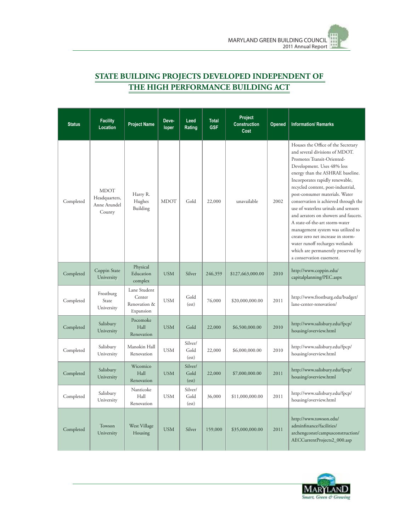

## **STATE BUILDING PROJECTS DEVELOPED INDEPENDENT OF THE HIGH PERFORMANCE BUILDING ACT**

| <b>Status</b> | <b>Facility</b><br>Location                            | <b>Project Name</b>                                 | Deve-<br>loper | Leed<br>Rating           | <b>Total</b><br><b>GSF</b> | Project<br><b>Construction</b><br>Cost | Opened | <b>Information/ Remarks</b>                                                                                                                                                                                                                                                                                                                                                                                                                                                                                                                                                                                               |
|---------------|--------------------------------------------------------|-----------------------------------------------------|----------------|--------------------------|----------------------------|----------------------------------------|--------|---------------------------------------------------------------------------------------------------------------------------------------------------------------------------------------------------------------------------------------------------------------------------------------------------------------------------------------------------------------------------------------------------------------------------------------------------------------------------------------------------------------------------------------------------------------------------------------------------------------------------|
| Completed     | <b>MDOT</b><br>Headquarters,<br>Anne Arundel<br>County | Harry R.<br>Hughes<br>Building                      | <b>MDOT</b>    | Gold                     | 22,000                     | unavailable                            | 2002   | Houses the Office of the Secretary<br>and several divisions of MDOT.<br>Promotes Transit-Oriented-<br>Development. Uses 48% less<br>energy than the ASHRAE baseline.<br>Incorporates rapidly renewable,<br>recycled content, post-industrial,<br>post-consumer materials. Water<br>conservation is achieved through the<br>use of waterless urinals and sensors<br>and aerators on showers and faucets.<br>A state-of-the-art storm-water<br>management system was utilized to<br>create zero net increase in storm-<br>water runoff recharges wetlands<br>which are permanently preserved by<br>a conservation easement. |
| Completed     | Coppin State<br>University                             | Physical<br>Education<br>complex                    | <b>USM</b>     | Silver                   | 246,359                    | \$127,663,000.00                       | 2010   | http://www.coppin.edu/<br>capitalplanning/PEC.aspx                                                                                                                                                                                                                                                                                                                                                                                                                                                                                                                                                                        |
| Completed     | Frostburg<br>State<br>University                       | Lane Student<br>Center<br>Renovation &<br>Expansion | <b>USM</b>     | Gold<br>(est)            | 76,000                     | \$20,000,000.00                        | 2011   | http://www.frostburg.edu/budget/<br>lane-center-renovation/                                                                                                                                                                                                                                                                                                                                                                                                                                                                                                                                                               |
| Completed     | Salisbury<br>University                                | Pocomoke<br>Hall<br>Renovation                      | <b>USM</b>     | Gold                     | 22,000                     | \$6,500,000.00                         | 2010   | http://www.salisbury.edu/fpcp/<br>housing/overview.html                                                                                                                                                                                                                                                                                                                                                                                                                                                                                                                                                                   |
| Completed     | Salisbury<br>University                                | Manokin Hall<br>Renovation                          | <b>USM</b>     | Silver/<br>Gold<br>(est) | 22,000                     | \$6,000,000.00                         | 2010   | http://www.salisbury.edu/fpcp/<br>housing/overview.html                                                                                                                                                                                                                                                                                                                                                                                                                                                                                                                                                                   |
| Completed     | Salisbury<br>University                                | Wicomico<br>Hall<br>Renovation                      | <b>USM</b>     | Silver/<br>Gold<br>(est) | 22,000                     | \$7,000,000.00                         | 2011   | http://www.salisbury.edu/fpcp/<br>housing/overview.html                                                                                                                                                                                                                                                                                                                                                                                                                                                                                                                                                                   |
| Completed     | Salisbury<br>University                                | Nanticoke<br>Hall<br>Renovation                     | <b>USM</b>     | Silver/<br>Gold<br>(est) | 36,000                     | \$11,000,000.00                        | 2011   | http://www.salisbury.edu/fpcp/<br>housing/overview.html                                                                                                                                                                                                                                                                                                                                                                                                                                                                                                                                                                   |
| Completed     | Towson<br>University                                   | West Village<br>Housing                             | <b>USM</b>     | Silver                   | 159,000                    | \$35,000,000.00                        | 2011   | http://www.towson.edu/<br>adminfinance/facilities/<br>archengconst/campusconstruction/<br>AECCurrentProjects2_000.asp                                                                                                                                                                                                                                                                                                                                                                                                                                                                                                     |

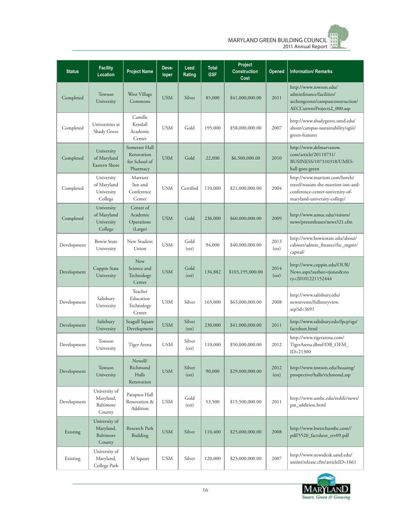

| <b>Status</b> | <b>Facility</b><br><b>Location</b>                 | <b>Project Name</b>                                      | Deve-<br>loper | Leed<br>Rating  | <b>Total</b><br><b>GSF</b> | Project<br><b>Construction</b><br>Cost | Opened        | <b>Information/ Remarks</b>                                                                                                               |
|---------------|----------------------------------------------------|----------------------------------------------------------|----------------|-----------------|----------------------------|----------------------------------------|---------------|-------------------------------------------------------------------------------------------------------------------------------------------|
| Completed     | Towson<br>University                               | West Village<br>Commons                                  | <b>USM</b>     | Silver          | 85,000                     | \$41,000,000.00                        | 2011          | http://www.towson.edu/<br>adminfinance/facilities/<br>archengconst/campusconstruction/<br>AECCurrentProjects2_000.asp                     |
| Completed     | Universities at<br>Shady Grove                     | Camille<br>Kendall<br>Academic<br>Center                 | <b>USM</b>     | Gold            | 195,000                    | \$58,000,000.00                        | 2007          | http://www.shadygrove.umd.edu/<br>about/campus-sustainability/sgiii/<br>green-features                                                    |
| Completed     | University<br>of Maryland<br>Eastern Shore         | Somerset Hall<br>Renovation<br>for School of<br>Pharmacy | <b>USM</b>     | Gold            | 22,000                     | \$6,500,000.00                         | 2010          | http://www.delmarvanow.<br>com/article/20110731/<br>BUSINESS/107310318/UMES-<br>hall-goes-green                                           |
| Completed     | University<br>of Maryland<br>University<br>College | Marriott<br>Inn and<br>Conference<br>Center              | <b>USM</b>     | Certified       | 110,000                    | \$21,000,000.00                        | 2004          | http://www.marriott.com/hotels/<br>travel/wasum-the-marriott-inn-and-<br>conference-center-university-of-<br>maryland-university-college/ |
| Completed     | University<br>of Maryland<br>University<br>College | Center of<br>Academic<br>Operations<br>(Largo)           | <b>USM</b>     | Gold            | 236,000                    | \$60,000,000.00                        | 2009          | http://www.umuc.edu/visitors/<br>news/pressreleases/news321.cfm                                                                           |
| Development   | <b>Bowie State</b><br>University                   | New Student<br>Union                                     | <b>USM</b>     | Gold<br>(est)   | 94,000                     | \$40,000,000.00                        | 2013<br>(est) | http://www.bowiestate.edu/about/<br>cabinet/admin_finance/fac_mgmt/<br>capital/                                                           |
| Development   | Coppin State<br>University                         | New<br>Science and<br>Technology<br>Center               | <b>USM</b>     | Gold<br>(est)   | 134,882                    | \$103,195,000.00                       | 2014<br>(est) | http://www.coppin.edu/OUR/<br>News.aspx?author=tjones&sto<br>ry=20101221152444                                                            |
| Development   | Salisbury<br>University                            | Teacher<br>Education<br>Technology<br>Center             | <b>USM</b>     | Silver          | 165,000                    | \$63,000,000.00                        | 2008          | http://www.salisbury.edu/<br>newsevents/fullstoryview.<br>$asp?id=3691$                                                                   |
| Development   | Salisbury<br>University                            | Seagull Square<br>Development                            | <b>USM</b>     | Silver<br>(est) | 230,000                    | \$41,000,000.00                        | 2011          | http://www.salisbury.edu/fpcp/sgs/<br>factsheet.html                                                                                      |
| Development   | Towson<br>University                               | Tiger Arena                                              | USM            | Silver<br>(est) | 110,000                    | \$50,000,000.00                        | 2012          | http://www.tigerarena.com/<br>_TigerArena.dbml?DB_OEM<br>$ID = 21300$                                                                     |
| Development   | Towson<br>University                               | Newell/<br>Richmond<br>Halls<br>Renovation               | <b>USM</b>     | Silver<br>(est) | 90,000                     | \$29,000,000.00                        | 2012<br>(est) | http://www.towson.edu/housing/<br>prospective/halls/richmond.asp                                                                          |
| Development   | University of<br>Maryland,<br>Baltimore<br>County  | Patapsco Hall<br>Renovation &<br>Addition                | USM            | Gold<br>(est)   | 53,500                     | \$15,500,000.00                        | 2011          | http://www.umbc.edu/reslife/news/<br>pat_addition.html                                                                                    |
| Existing      | University of<br>Maryland,<br>Baltimore<br>County  | Research Park<br>Building                                | <b>USM</b>     | Silver          | 110,400                    | \$25,000,000.00                        | 2008          | http://www.bwtechumbc.com//<br>pdf/5520_factsheet_rev09.pdf                                                                               |
| Existing      | University of<br>Maryland,<br>College Park         | M Square                                                 | <b>USM</b>     | Silver          | 120,000                    | \$23,000,000.00                        | 2007          | http://www.newsdesk.umd.edu/<br>uniini/release.cfm?articleID=1661                                                                         |

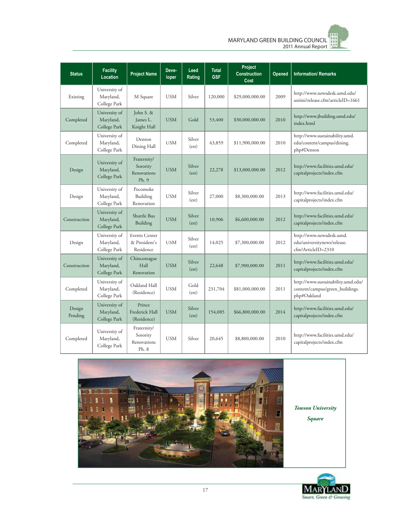

| <b>Status</b>     | <b>Facility</b><br>Location                | <b>Project Name</b>                                | Deve-<br>loper | Leed<br>Rating  | <b>Total</b><br><b>GSF</b> | Project<br><b>Construction</b><br>Cost | Opened | <b>Information/ Remarks</b>                                                          |
|-------------------|--------------------------------------------|----------------------------------------------------|----------------|-----------------|----------------------------|----------------------------------------|--------|--------------------------------------------------------------------------------------|
| Existing          | University of<br>Maryland,<br>College Park | M Square                                           | <b>USM</b>     | Silver          | 120,000                    | \$29,000,000.00                        | 2009   | http://www.newsdesk.umd.edu/<br>uniini/release.cfm?articleID=1661                    |
| Completed         | University of<br>Maryland,<br>College Park | John S. &<br>James L.<br>Knight Hall               | <b>USM</b>     | Gold            | 53,400                     | \$30,000,000.00                        | 2010   | http://www.jbuilding.umd.edu/<br>index.html                                          |
| Completed         | University of<br>Maryland,<br>College Park | Denton<br>Dining Hall                              | <b>USM</b>     | Silver<br>(est) | 43,859                     | \$11,900,000.00                        | 2010   | http://www.sustainability.umd.<br>edu/content/campus/dining.<br>php#Denton           |
| Design            | University of<br>Maryland,<br>College Park | Fraternity/<br>Sorority<br>Renovations<br>Ph.9     | <b>USM</b>     | Silver<br>(est) | 22,278                     | \$13,000,000.00                        | 2012   | http://www.facilities.umd.edu/<br>capitalprojects/index.cfm                          |
| Design            | University of<br>Maryland,<br>College Park | Pocomoke<br>Building<br>Renovation                 | <b>USM</b>     | Silver<br>(est) | 27,000                     | \$8,300,000.00                         | 2013   | http://www.facilities.umd.edu/<br>capitalprojects/index.cfm                          |
| Construction      | University of<br>Maryland,<br>College Park | Shuttle Bus<br>Building                            | <b>USM</b>     | Silver<br>(est) | 10,906                     | \$6,600,000.00                         | 2012   | http://www.facilities.umd.edu/<br>capitalprojects/index.cfm                          |
| Design            | University of<br>Maryland,<br>College Park | <b>Events Center</b><br>& President's<br>Residence | <b>USM</b>     | Silver<br>(est) | 14,025                     | \$7,300,000.00                         | 2012   | http://www.newsdesk.umd.<br>edu/universitynews/release.<br>cfm?ArticleID=2310        |
| Construction      | University of<br>Maryland,<br>College Park | Chincoteague<br>Hall<br>Renovation                 | <b>USM</b>     | Silver<br>(est) | 22,648                     | \$7,900,000.00                         | 2011   | http://www.facilities.umd.edu/<br>capitalprojects/index.cfm                          |
| Completed         | University of<br>Maryland,<br>College Park | Oakland Hall<br>(Residence)                        | <b>USM</b>     | Gold<br>(est)   | 231,704                    | \$81,000,000.00                        | 2011   | http://www.sustainability.umd.edu/<br>content/campus/green_buildings.<br>php#Oakland |
| Design<br>Pending | University of<br>Maryland,<br>College Park | Prince<br>Frederick Hall<br>(Residence)            | <b>USM</b>     | Silver<br>(est) | 154,085                    | \$66,800,000.00                        | 2014   | http://www.facilities.umd.edu/<br>capitalprojects/index.cfm                          |
| Completed         | University of<br>Maryland,<br>College Park | Fraternity/<br>Sorority<br>Renovations<br>Ph. 8    | <b>USM</b>     | Silver          | 20,645                     | \$8,800,000.00                         | 2010   | http://www.facilities.umd.edu/<br>capitalprojects/index.cfm                          |



*Towson University* 

*Square*

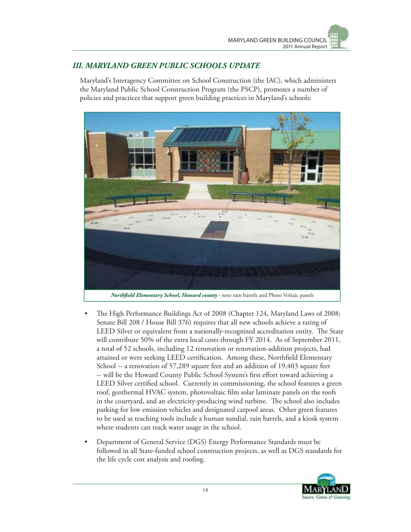## *III. MARYLAND GREEN PUBLIC SCHOOLS UPDATE*

Maryland's Interagency Committee on School Construction (the IAC), which administers the Maryland Public School Construction Program (the PSCP), promotes a number of policies and practices that support green building practices in Maryland's schools:



- The High Performance Buildings Act of 2008 (Chapter 124, Maryland Laws of 2008; Senate Bill 208 / House Bill 376) requires that all new schools achieve a rating of LEED Silver or equivalent from a nationally-recognized accreditation entity. The State will contribute 50% of the extra local costs through FY 2014. As of September 2011, a total of 52 schools, including 12 renovation or renovation-addition projects, had attained or were seeking LEED certification. Among these, Northfield Elementary School -- a renovation of 57,289 square feet and an addition of 19,403 square feet -- will be the Howard County Public School System's first effort toward achieving a LEED Silver certified school. Currently in commissioning, the school features a green roof, geothermal HVAC system, photovoltaic film solar laminate panels on the roofs in the courtyard, and an electricity-producing wind turbine. The school also includes parking for low emission vehicles and designated carpool areas. Other green features to be used as teaching tools include a human sundial, rain barrels, and a kiosk system where students can track water usage in the school.
- Department of General Service (DGS) Energy Performance Standards must be followed in all State-funded school construction projects, as well as DGS standards for the life cycle cost analysis and roofing.

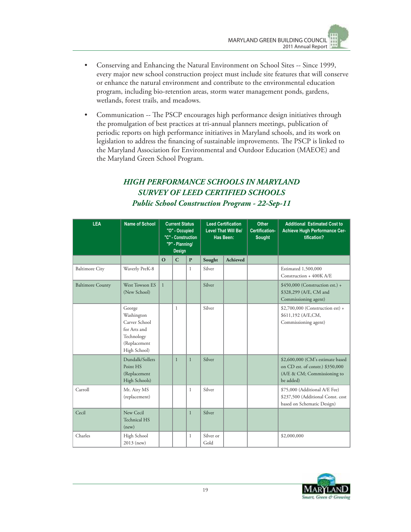- Conserving and Enhancing the Natural Environment on School Sites -- Since 1999, every major new school construction project must include site features that will conserve or enhance the natural environment and contribute to the environmental education program, including bio-retention areas, storm water management ponds, gardens, wetlands, forest trails, and meadows.
- Communication -- The PSCP encourages high performance design initiatives through the promulgation of best practices at tri-annual planners meetings, publication of periodic reports on high performance initiatives in Maryland schools, and its work on legislation to address the financing of sustainable improvements. The PSCP is linked to the Maryland Association for Environmental and Outdoor Education (MAEOE) and the Maryland Green School Program.

## *HIGH PERFORMANCE SCHOOLS IN MARYLAND SURVEY OF LEED CERTIFIED SCHOOLS Public School Construction Program - 22-Sep-11*

| <b>LEA</b>              | Name of School                                                                                      | <b>Current Status</b><br>"O" - Occupied<br>"C" - Construction<br>"P" - Planning/<br><b>Design</b> |              | <b>Leed Certification</b><br><b>Level That Will Be/</b><br>Has Been: |                   | <b>Other</b><br>Certification-<br><b>Sought</b> | <b>Additional Estimated Cost to</b><br>Achieve Hugh Performance Cer-<br>tification? |                                                                                                                  |
|-------------------------|-----------------------------------------------------------------------------------------------------|---------------------------------------------------------------------------------------------------|--------------|----------------------------------------------------------------------|-------------------|-------------------------------------------------|-------------------------------------------------------------------------------------|------------------------------------------------------------------------------------------------------------------|
|                         |                                                                                                     | $\Omega$                                                                                          | $\mathbf C$  | $\mathbf{P}$                                                         | Sought            | Achieved                                        |                                                                                     |                                                                                                                  |
| <b>Baltimore City</b>   | Waverly PreK-8                                                                                      |                                                                                                   |              | $\mathbf{1}$                                                         | Silver            |                                                 |                                                                                     | Estimated 1,500,000<br>Construction + 400K A/E                                                                   |
| <b>Baltimore County</b> | West Towson ES<br>(New School)                                                                      | $\mathbf{1}$                                                                                      |              |                                                                      | Silver            |                                                 |                                                                                     | $$450,000$ (Construction est.) +<br>\$328,299 (A/E, CM and<br>Commissioning agent)                               |
|                         | George<br>Washington<br>Carver School<br>for Arts and<br>Technology<br>(Replacement<br>High School) |                                                                                                   | $\mathbf{1}$ |                                                                      | Silver            |                                                 |                                                                                     | \$2,700,000 (Construction est) +<br>\$611,192 (A/E,CM,<br>Commissioning agent)                                   |
|                         | Dundalk/Sollers<br>Point HS<br>(Replacement<br>High Schools)                                        |                                                                                                   | $\mathbf{1}$ | $\mathbf{1}$                                                         | Silver            |                                                 |                                                                                     | \$2,600,000 (CM's estimate based<br>on CD est. of constr.) \$350,000<br>(A/E & CM; Commissioning to<br>be added) |
| Carroll                 | Mt. Airy MS<br>(replacement)                                                                        |                                                                                                   |              | $\mathbf{1}$                                                         | Silver            |                                                 |                                                                                     | \$75,000 (Additional A/E Fee)<br>\$237,500 (Additional Const. cost<br>based on Schematic Design)                 |
| Cecil                   | New Cecil<br>Technical HS<br>(new)                                                                  |                                                                                                   |              | $\mathbf{1}$                                                         | Silver            |                                                 |                                                                                     |                                                                                                                  |
| Charles                 | High School<br>2013 (new)                                                                           |                                                                                                   |              | $\mathbf{1}$                                                         | Silver or<br>Gold |                                                 |                                                                                     | \$2,000,000                                                                                                      |

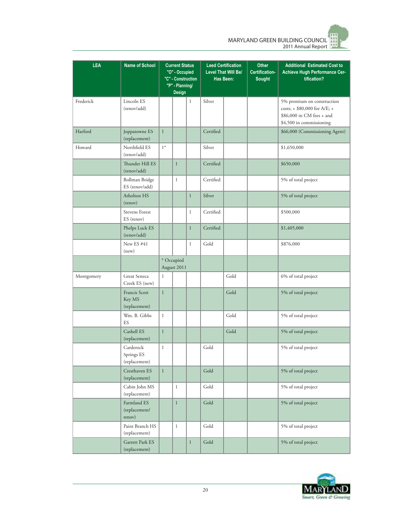MARYLAND GREEN BUILDING COUNCIL 2011 Annual Report

| LEA        | <b>Name of School</b>                    | <b>Current Status</b><br>"O" - Occupied<br>"C" - Construction<br>"P" - Planning/<br><b>Design</b> |              | <b>Leed Certification</b><br><b>Level That Will Be/</b><br>Has Been: |           | <b>Other</b><br>Certification-<br><b>Sought</b> | <b>Additional Estimated Cost to</b><br>Achieve Hugh Performance Cer-<br>tification? |                                                                                                                         |
|------------|------------------------------------------|---------------------------------------------------------------------------------------------------|--------------|----------------------------------------------------------------------|-----------|-------------------------------------------------|-------------------------------------------------------------------------------------|-------------------------------------------------------------------------------------------------------------------------|
| Frederick  | Lincoln ES<br>(renov/add)                |                                                                                                   |              | $\,1$                                                                | Silver    |                                                 |                                                                                     | 5% premium on construction<br>costs; $+$ \$80,000 for A/E; $+$<br>\$86,000 in CM fees + and<br>\$4,500 in commissioning |
| Harford    | Joppatowne ES<br>(replacement)           | $\mathbf{1}$                                                                                      |              |                                                                      | Certified |                                                 |                                                                                     | \$66,000 (Commissioning Agent)                                                                                          |
| Howard     | Northfield ES<br>(renov/add)             | $1*$                                                                                              |              |                                                                      | Silver    |                                                 |                                                                                     | \$1,650,000                                                                                                             |
|            | Thunder Hill ES<br>(renov/add)           |                                                                                                   | $\mathbf{1}$ |                                                                      | Certified |                                                 |                                                                                     | \$650,000                                                                                                               |
|            | Bollman Bridge<br>ES (renov/add)         |                                                                                                   | $\mathbf{1}$ |                                                                      | Certified |                                                 |                                                                                     | 5% of total project                                                                                                     |
|            | Atholton HS<br>(renov)                   |                                                                                                   |              | $\mathbf{1}$                                                         | Silver    |                                                 |                                                                                     | 5% of total project                                                                                                     |
|            | Stevens Forest<br>ES (renov)             |                                                                                                   |              | $\mathbf{1}$                                                         | Certified |                                                 |                                                                                     | \$500,000                                                                                                               |
|            | Phelps Luck ES<br>(renov/add)            |                                                                                                   |              | $\mathbf{1}$                                                         | Certified |                                                 |                                                                                     | \$1,405,000                                                                                                             |
|            | New ES#41<br>(new)                       |                                                                                                   |              | $\mathbf{1}$                                                         | Gold      |                                                 |                                                                                     | \$876,000                                                                                                               |
|            |                                          | * Occupied<br>August 2011                                                                         |              |                                                                      |           |                                                 |                                                                                     |                                                                                                                         |
| Montgomery | Great Seneca<br>Creek ES (new)           | $\mathbf{1}$                                                                                      |              |                                                                      |           | Gold                                            |                                                                                     | 6% of total project                                                                                                     |
|            | Francis Scott<br>Key MS<br>(replacement) | $\mathbf{1}$                                                                                      |              |                                                                      |           | Gold                                            |                                                                                     | 5% of total project                                                                                                     |
|            | Wm. B. Gibbs<br>ES                       | $\mathbf{1}$                                                                                      |              |                                                                      |           | Gold                                            |                                                                                     | 5% of total project                                                                                                     |
|            | Cashell ES<br>(replacement)              | $\mathbf{1}$                                                                                      |              |                                                                      |           | Gold                                            |                                                                                     | 5% of total project                                                                                                     |
|            | Carderock<br>Springs ES<br>(replacement) | $\,1$                                                                                             |              |                                                                      | Gold      |                                                 |                                                                                     | 5% of total project                                                                                                     |
|            | Cresthaven ES<br>(replacement)           | $\mathbf{1}$                                                                                      |              |                                                                      | Gold      |                                                 |                                                                                     | 5% of total project                                                                                                     |
|            | Cabin John MS<br>(replacement)           |                                                                                                   | $\mathbf{1}$ |                                                                      | Gold      |                                                 |                                                                                     | 5% of total project                                                                                                     |
|            | Farmland ES<br>(replacement/<br>renov)   |                                                                                                   | $\mathbf{1}$ |                                                                      | Gold      |                                                 |                                                                                     | 5% of total project                                                                                                     |
|            | Paint Branch HS<br>(replacement)         |                                                                                                   | $\mathbf 1$  |                                                                      | Gold      |                                                 |                                                                                     | 5% of total project                                                                                                     |
|            | Garrett Park ES<br>(replacement)         |                                                                                                   |              | $\mathbf{1}$                                                         | Gold      |                                                 |                                                                                     | 5% of total project                                                                                                     |

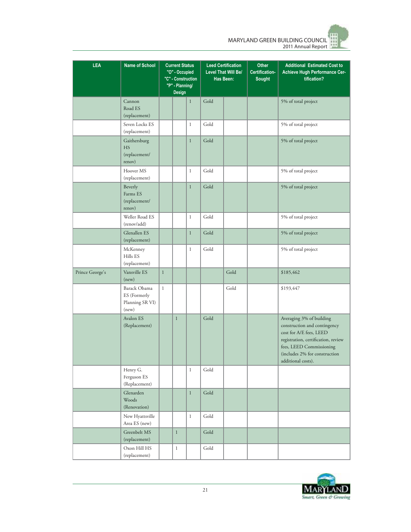MARYLAND GREEN BUILDING COUNCIL 2011 Annual Report

| <b>LEA</b>      | <b>Name of School</b>                                    | <b>Current Status</b><br>"O" - Occupied<br>"C" - Construction<br>"P" - Planning/<br>Design |              | <b>Leed Certification</b><br><b>Level That Will Be/</b><br>Has Been: |                       | <b>Other</b><br>Certification-<br><b>Sought</b> | <b>Additional Estimated Cost to</b><br>Achieve Hugh Performance Cer-<br>tification? |                                                                                                                                                                                                               |
|-----------------|----------------------------------------------------------|--------------------------------------------------------------------------------------------|--------------|----------------------------------------------------------------------|-----------------------|-------------------------------------------------|-------------------------------------------------------------------------------------|---------------------------------------------------------------------------------------------------------------------------------------------------------------------------------------------------------------|
|                 | Cannon<br>Road ES<br>(replacement)                       |                                                                                            |              | $\mathbf{1}$                                                         | Gold                  |                                                 |                                                                                     | 5% of total project                                                                                                                                                                                           |
|                 | Seven Locks ES<br>(replacement)                          |                                                                                            |              | $\mathbf{1}$                                                         | Gold                  |                                                 |                                                                                     | 5% of total project                                                                                                                                                                                           |
|                 | Gaithersburg<br>HS<br>(replacement/<br>renov)            |                                                                                            |              | $\mathbf{1}$                                                         | Gold                  |                                                 |                                                                                     | 5% of total project                                                                                                                                                                                           |
|                 | Hoover MS<br>(replacement)                               |                                                                                            |              | $\mathbf{1}$                                                         | Gold                  |                                                 |                                                                                     | 5% of total project                                                                                                                                                                                           |
|                 | Beverly<br>Farms ES<br>(replacement/<br>renov)           |                                                                                            |              | $\mathbf{1}$                                                         | Gold                  |                                                 |                                                                                     | 5% of total project                                                                                                                                                                                           |
|                 | Weller Road ES<br>(renov/add)                            |                                                                                            |              | $\mathbf{1}$                                                         | Gold                  |                                                 |                                                                                     | 5% of total project                                                                                                                                                                                           |
|                 | Glenallen ES<br>(replacement)                            |                                                                                            |              | $\mathbf{1}$                                                         | Gold                  |                                                 |                                                                                     | 5% of total project                                                                                                                                                                                           |
|                 | McKenney<br>Hills ES<br>(replacement)                    |                                                                                            |              | $\mathbf{1}$                                                         | Gold                  |                                                 |                                                                                     | 5% of total project                                                                                                                                                                                           |
| Prince George's | Vansville ES<br>(new)                                    | $1\,$                                                                                      |              |                                                                      |                       | Gold                                            |                                                                                     | \$185,462                                                                                                                                                                                                     |
|                 | Barack Obama<br>ES (Formerly<br>Planning SR VI)<br>(new) | $\mathbf{1}$                                                                               |              |                                                                      |                       | Gold                                            |                                                                                     | \$193,447                                                                                                                                                                                                     |
|                 | Avalon ES<br>(Replacement)                               |                                                                                            | $\mathbf{1}$ |                                                                      | Gold                  |                                                 |                                                                                     | Averaging 3% of building<br>construction and contingency<br>cost for A/E fees, LEED<br>registration, certification, review<br>fees, LEED Commissioning<br>(includes 2% for construction<br>additional costs). |
|                 | Henry G.<br>Ferguson ES<br>(Replacement)                 |                                                                                            |              | $\mathbf{1}$                                                         | Gold                  |                                                 |                                                                                     |                                                                                                                                                                                                               |
|                 | Glenarden<br>Woods<br>(Renovation)                       |                                                                                            |              | $\mathbf{1}$                                                         | $\operatorname{Gold}$ |                                                 |                                                                                     |                                                                                                                                                                                                               |
|                 | New Hyattsville<br>Area ES (new)                         |                                                                                            |              | $\mathbf{1}$                                                         | Gold                  |                                                 |                                                                                     |                                                                                                                                                                                                               |
|                 | Greenbelt MS<br>(replacement)                            |                                                                                            | $\mathbf{1}$ |                                                                      | Gold                  |                                                 |                                                                                     |                                                                                                                                                                                                               |
|                 | Oxon Hill HS<br>(replacement)                            |                                                                                            | $\mathbf{1}$ |                                                                      | Gold                  |                                                 |                                                                                     |                                                                                                                                                                                                               |

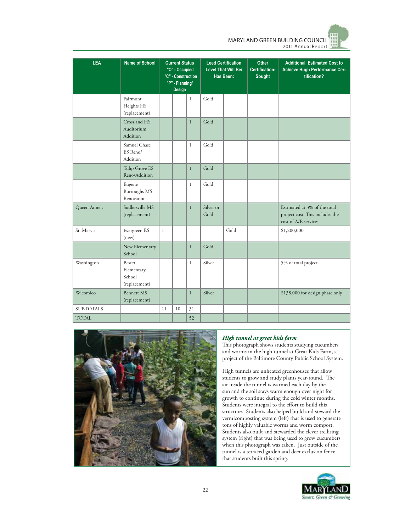MARYLAND GREEN BUILDING COUNCIL 2011 Annual Report

| <b>LEA</b>       | <b>Name of School</b>                           | <b>Current Status</b><br>"O" - Occupied<br>"C" - Construction<br>"P" - Planning/<br>Design |    |              | <b>Leed Certification</b><br><b>Level That Will Be/</b><br>Has Been: | <b>Other</b><br>Certification-<br><b>Sought</b> | <b>Additional Estimated Cost to</b><br>Achieve Hugh Performance Cer-<br>tification? |                                                                                          |
|------------------|-------------------------------------------------|--------------------------------------------------------------------------------------------|----|--------------|----------------------------------------------------------------------|-------------------------------------------------|-------------------------------------------------------------------------------------|------------------------------------------------------------------------------------------|
|                  | Fairmont<br>Heights HS<br>(replacement)         |                                                                                            |    | $\mathbf{1}$ | Gold                                                                 |                                                 |                                                                                     |                                                                                          |
|                  | Crossland HS<br>Auditorium<br>Addition          |                                                                                            |    | $\mathbf{1}$ | Gold                                                                 |                                                 |                                                                                     |                                                                                          |
|                  | Samuel Chase<br>ES Reno/<br>Addition            |                                                                                            |    | $\mathbf{1}$ | Gold                                                                 |                                                 |                                                                                     |                                                                                          |
|                  | Tulip Grove ES<br>Reno/Addition                 |                                                                                            |    | $\mathbf{1}$ | Gold                                                                 |                                                 |                                                                                     |                                                                                          |
|                  | Eugene<br><b>Burroughs MS</b><br>Renovation     |                                                                                            |    | $\mathbf{1}$ | Gold                                                                 |                                                 |                                                                                     |                                                                                          |
| Queen Anne's     | Sudlersville MS<br>(replacement)                |                                                                                            |    | $\mathbf{1}$ | Silver or<br>Gold                                                    |                                                 |                                                                                     | Estimated at 3% of the total<br>project cost. This includes the<br>cost of A/E services. |
| St. Mary's       | Evergreen ES<br>(new)                           | $\mathbf{1}$                                                                               |    |              |                                                                      | Gold                                            |                                                                                     | \$1,200,000                                                                              |
|                  | New Elementary<br>School                        |                                                                                            |    | $\mathbf{1}$ | Gold                                                                 |                                                 |                                                                                     |                                                                                          |
| Washington       | Bester<br>Elementary<br>School<br>(replacement) |                                                                                            |    | $\mathbf{1}$ | Silver                                                               |                                                 |                                                                                     | 5% of total project                                                                      |
| Wicomico         | Bennett MS<br>(replacement)                     |                                                                                            |    | $\mathbf{1}$ | Silver                                                               |                                                 |                                                                                     | \$138,000 for design phase only                                                          |
| <b>SUBTOTALS</b> |                                                 | 11                                                                                         | 10 | 31           |                                                                      |                                                 |                                                                                     |                                                                                          |
| <b>TOTAL</b>     |                                                 |                                                                                            |    | 52           |                                                                      |                                                 |                                                                                     |                                                                                          |



#### *High tunnel at great kids farm*

This photograph shows students studying cucumbers and worms in the high tunnel at Great Kids Farm, a project of the Baltimore County Public School System.

High tunnels are unheated greenhouses that allow students to grow and study plants year-round. The air inside the tunnel is warmed each day by the sun and the soil stays warm enough over night for growth to continue during the cold winter months. Students were integral to the effort to build this structure. Students also helped build and steward the vermicomposting system (left) that is used to generate tons of highly valuable worms and worm compost. Students also built and stewarded the clever trellising system (right) that was being used to grow cucumbers when this photograph was taken. Just outside of the tunnel is a terraced garden and deer exclusion fence that students built this spring.